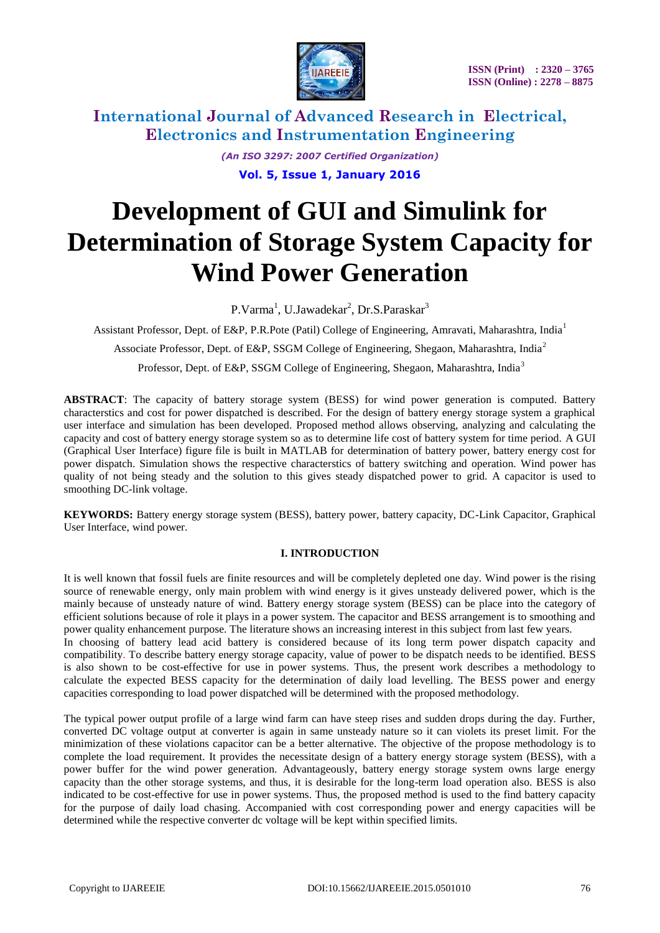

*(An ISO 3297: 2007 Certified Organization)* **Vol. 5, Issue 1, January 2016**

# **Development of GUI and Simulink for Determination of Storage System Capacity for Wind Power Generation**

P.Varma<sup>1</sup>, U.Jawadekar<sup>2</sup>, Dr.S.Paraskar<sup>3</sup>

Assistant Professor, Dept. of E&P, P.R.Pote (Patil) College of Engineering, Amravati, Maharashtra, India<sup>1</sup>

Associate Professor, Dept. of E&P, SSGM College of Engineering, Shegaon, Maharashtra, India<sup>2</sup>

Professor, Dept. of E&P, SSGM College of Engineering, Shegaon, Maharashtra, India<sup>3</sup>

**ABSTRACT**: The capacity of battery storage system (BESS) for wind power generation is computed. Battery characterstics and cost for power dispatched is described. For the design of battery energy storage system a graphical user interface and simulation has been developed. Proposed method allows observing, analyzing and calculating the capacity and cost of battery energy storage system so as to determine life cost of battery system for time period. A GUI (Graphical User Interface) figure file is built in MATLAB for determination of battery power, battery energy cost for power dispatch. Simulation shows the respective characterstics of battery switching and operation. Wind power has quality of not being steady and the solution to this gives steady dispatched power to grid. A capacitor is used to smoothing DC-link voltage.

**KEYWORDS:** Battery energy storage system (BESS), battery power, battery capacity, DC-Link Capacitor, Graphical User Interface, wind power.

### **I. INTRODUCTION**

It is well known that fossil fuels are finite resources and will be completely depleted one day. Wind power is the rising source of renewable energy, only main problem with wind energy is it gives unsteady delivered power, which is the mainly because of unsteady nature of wind. Battery energy storage system (BESS) can be place into the category of efficient solutions because of role it plays in a power system. The capacitor and BESS arrangement is to smoothing and power quality enhancement purpose. The literature shows an increasing interest in this subject from last few years. In choosing of battery lead acid battery is considered because of its long term power dispatch capacity and compatibility. To describe battery energy storage capacity, value of power to be dispatch needs to be identified. BESS is also shown to be cost-effective for use in power systems. Thus, the present work describes a methodology to calculate the expected BESS capacity for the determination of daily load levelling. The BESS power and energy capacities corresponding to load power dispatched will be determined with the proposed methodology.

The typical power output profile of a large wind farm can have steep rises and sudden drops during the day. Further, converted DC voltage output at converter is again in same unsteady nature so it can violets its preset limit. For the minimization of these violations capacitor can be a better alternative. The objective of the propose methodology is to complete the load requirement. It provides the necessitate design of a battery energy storage system (BESS), with a power buffer for the wind power generation. Advantageously, battery energy storage system owns large energy capacity than the other storage systems, and thus, it is desirable for the long-term load operation also. BESS is also indicated to be cost-effective for use in power systems. Thus, the proposed method is used to the find battery capacity for the purpose of daily load chasing. Accompanied with cost corresponding power and energy capacities will be determined while the respective converter dc voltage will be kept within specified limits.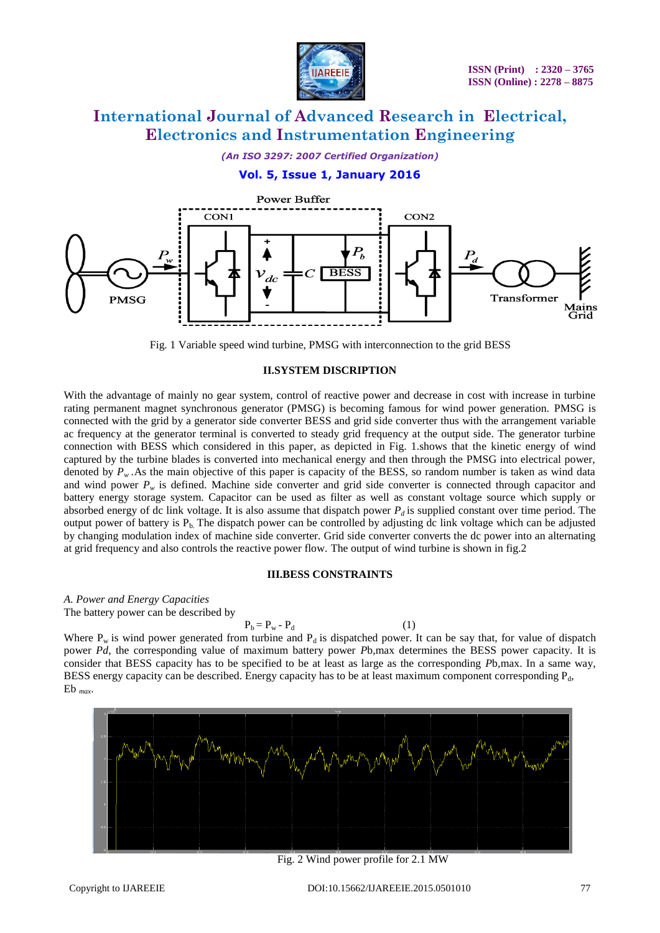

*(An ISO 3297: 2007 Certified Organization)*

### **Vol. 5, Issue 1, January 2016**



Fig. 1 Variable speed wind turbine, PMSG with interconnection to the grid BESS

#### **II.SYSTEM DISCRIPTION**

With the advantage of mainly no gear system, control of reactive power and decrease in cost with increase in turbine rating permanent magnet synchronous generator (PMSG) is becoming famous for wind power generation. PMSG is connected with the grid by a generator side converter BESS and grid side converter thus with the arrangement variable ac frequency at the generator terminal is converted to steady grid frequency at the output side. The generator turbine connection with BESS which considered in this paper, as depicted in Fig. 1.shows that the kinetic energy of wind captured by the turbine blades is converted into mechanical energy and then through the PMSG into electrical power, denoted by  $P_w$ . As the main objective of this paper is capacity of the BESS, so random number is taken as wind data and wind power  $P_w$  is defined. Machine side converter and grid side converter is connected through capacitor and battery energy storage system. Capacitor can be used as filter as well as constant voltage source which supply or absorbed energy of dc link voltage. It is also assume that dispatch power  $P_d$  is supplied constant over time period. The output power of battery is  $P_b$ . The dispatch power can be controlled by adjusting dc link voltage which can be adjusted by changing modulation index of machine side converter. Grid side converter converts the dc power into an alternating at grid frequency and also controls the reactive power flow. The output of wind turbine is shown in fig.2

#### **III.BESS CONSTRAINTS**

*A. Power and Energy Capacities*

The battery power can be described by

$$
P_b = P_w - P_d \tag{1}
$$

Where  $P_w$  is wind power generated from turbine and  $P_d$  is dispatched power. It can be say that, for value of dispatch power *Pd*, the corresponding value of maximum battery power *P*b*,*max determines the BESS power capacity. It is consider that BESS capacity has to be specified to be at least as large as the corresponding *P*b*,*max. In a same way, BESS energy capacity can be described. Energy capacity has to be at least maximum component corresponding  $P_d$ , Eb *max*.



Fig. 2 Wind power profile for 2.1 MW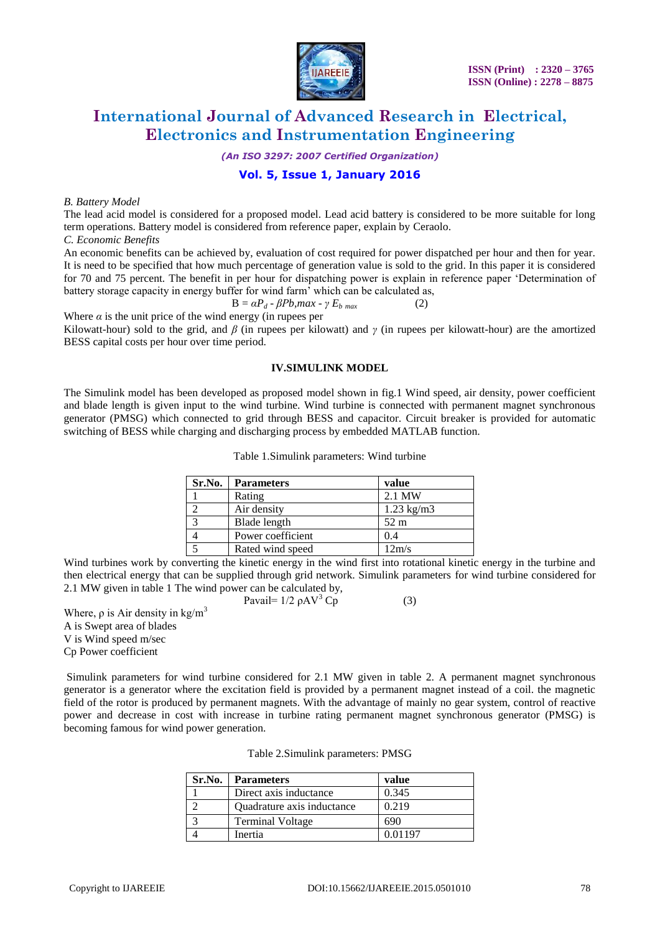

*(An ISO 3297: 2007 Certified Organization)*

### **Vol. 5, Issue 1, January 2016**

#### *B. Battery Model*

The lead acid model is considered for a proposed model. Lead acid battery is considered to be more suitable for long term operations. Battery model is considered from reference paper, explain by Ceraolo.

*C. Economic Benefits*

An economic benefits can be achieved by, evaluation of cost required for power dispatched per hour and then for year. It is need to be specified that how much percentage of generation value is sold to the grid. In this paper it is considered for 70 and 75 percent. The benefit in per hour for dispatching power is explain in reference paper "Determination of battery storage capacity in energy buffer for wind farm' which can be calculated as,

$$
B = \alpha P_d - \beta Pb, max - \gamma E_{b \ max} \tag{2}
$$

Where  $\alpha$  is the unit price of the wind energy (in rupees per

Kilowatt-hour) sold to the grid, and *β* (in rupees per kilowatt) and *γ* (in rupees per kilowatt-hour) are the amortized BESS capital costs per hour over time period.

#### **IV.SIMULINK MODEL**

The Simulink model has been developed as proposed model shown in fig.1 Wind speed, air density, power coefficient and blade length is given input to the wind turbine. Wind turbine is connected with permanent magnet synchronous generator (PMSG) which connected to grid through BESS and capacitor. Circuit breaker is provided for automatic switching of BESS while charging and discharging process by embedded MATLAB function.

| Sr.No. | <b>Parameters</b> | value                |
|--------|-------------------|----------------------|
|        | Rating            | 2.1 MW               |
|        | Air density       | $1.23 \text{ kg/m}3$ |
| っ      | Blade length      | $52 \text{ m}$       |
|        | Power coefficient | 0.4                  |
|        | Rated wind speed  | 12m/s                |

Table 1.Simulink parameters: Wind turbine

Wind turbines work by converting the kinetic energy in the wind first into rotational kinetic energy in the turbine and then electrical energy that can be supplied through grid network. Simulink parameters for wind turbine considered for 2.1 MW given in table 1 The wind power can be calculated by,

Pavail=  $1/2 \rho A V^3$  Cp (3)

Where,  $\rho$  is Air density in kg/m<sup>3</sup> A is Swept area of blades V is Wind speed m/sec Cp Power coefficient

Simulink parameters for wind turbine considered for 2.1 MW given in table 2. A permanent magnet synchronous generator is a generator where the excitation field is provided by a permanent magnet instead of a coil. the magnetic field of the rotor is produced by permanent magnets. With the advantage of mainly no gear system, control of reactive power and decrease in cost with increase in turbine rating permanent magnet synchronous generator (PMSG) is becoming famous for wind power generation.

| Table 2. Simulink parameters: PMSG |  |  |
|------------------------------------|--|--|
|------------------------------------|--|--|

| Sr.No. | <b>Parameters</b>          | value   |
|--------|----------------------------|---------|
|        | Direct axis inductance     | 0.345   |
|        | Quadrature axis inductance | 0.219   |
|        | <b>Terminal Voltage</b>    | 690     |
|        | Inertia                    | 0.01197 |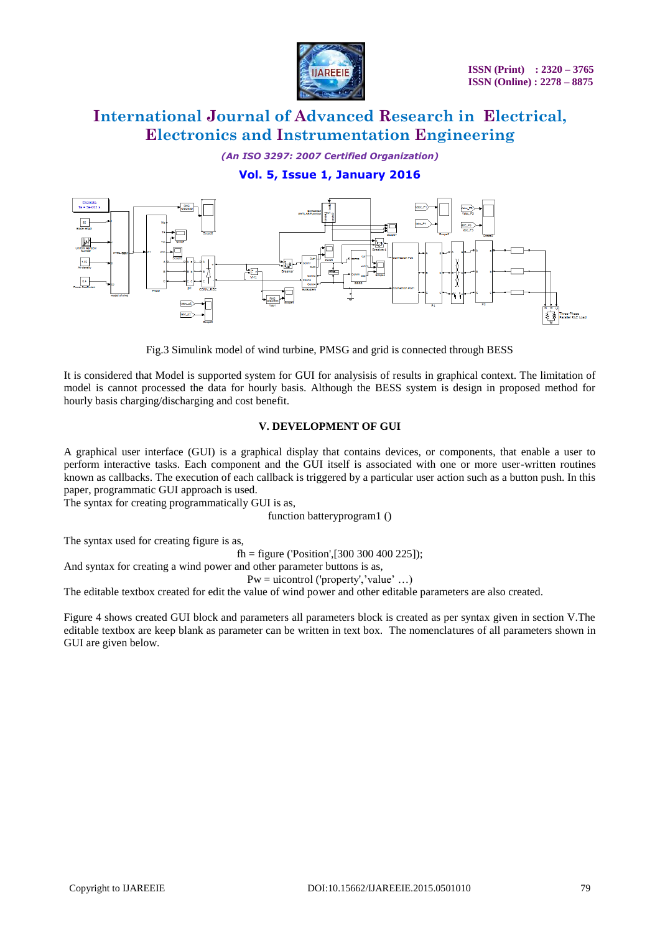

*(An ISO 3297: 2007 Certified Organization)*

### **Vol. 5, Issue 1, January 2016**



Fig.3 Simulink model of wind turbine, PMSG and grid is connected through BESS

It is considered that Model is supported system for GUI for analysisis of results in graphical context. The limitation of model is cannot processed the data for hourly basis. Although the BESS system is design in proposed method for hourly basis charging/discharging and cost benefit.

### **V. DEVELOPMENT OF GUI**

A graphical user interface (GUI) is a graphical display that contains devices, or components, that enable a user to perform interactive tasks. Each component and the GUI itself is associated with one or more user-written routines known as callbacks. The execution of each callback is triggered by a particular user action such as a button push. In this paper, programmatic GUI approach is used.

The syntax for creating programmatically GUI is as,

function batteryprogram1 ()

The syntax used for creating figure is as,

fh = figure ('Position',  $[300 300 400 225]$ );

And syntax for creating a wind power and other parameter buttons is as,

 $Pw =$  uicontrol ('property', 'value' ...)

The editable textbox created for edit the value of wind power and other editable parameters are also created.

Figure 4 shows created GUI block and parameters all parameters block is created as per syntax given in section V.The editable textbox are keep blank as parameter can be written in text box. The nomenclatures of all parameters shown in GUI are given below.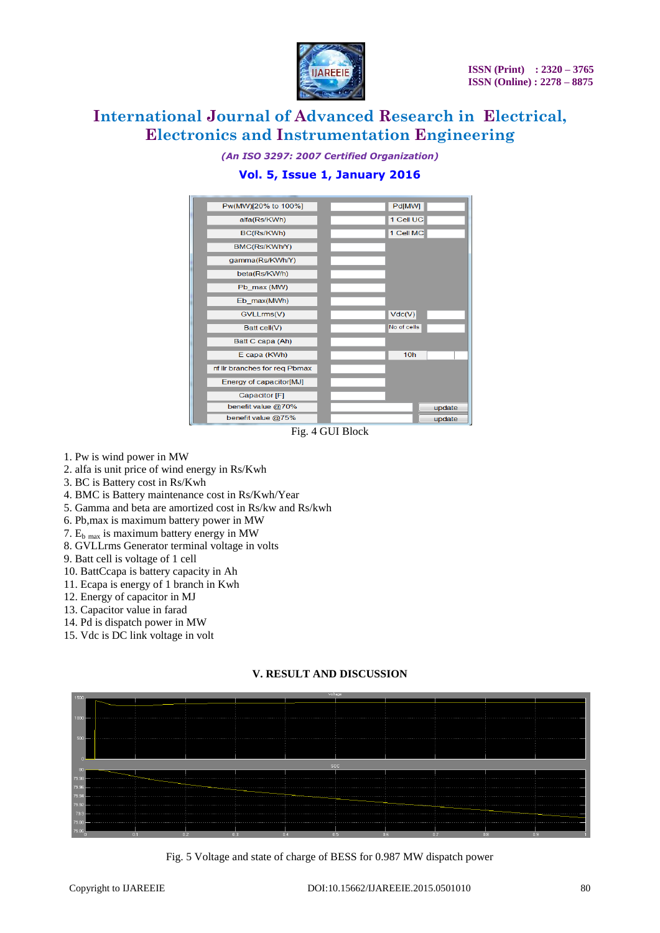

*(An ISO 3297: 2007 Certified Organization)*

### **Vol. 5, Issue 1, January 2016**



Fig. 4 GUI Block

- 1. Pw is wind power in MW
- 2. alfa is unit price of wind energy in Rs/Kwh
- 3. BC is Battery cost in Rs/Kwh
- 4. BMC is Battery maintenance cost in Rs/Kwh/Year
- 5. Gamma and beta are amortized cost in Rs/kw and Rs/kwh
- 6. Pb,max is maximum battery power in MW
- 7.  $E_{b \text{ max}}$  is maximum battery energy in MW
- 8. GVLLrms Generator terminal voltage in volts
- 9. Batt cell is voltage of 1 cell
- 10. BattCcapa is battery capacity in Ah
- 11. Ecapa is energy of 1 branch in Kwh
- 12. Energy of capacitor in MJ
- 13. Capacitor value in farad
- 14. Pd is dispatch power in MW
- 15. Vdc is DC link voltage in volt

### **V. RESULT AND DISCUSSION**



Fig. 5 Voltage and state of charge of BESS for 0.987 MW dispatch power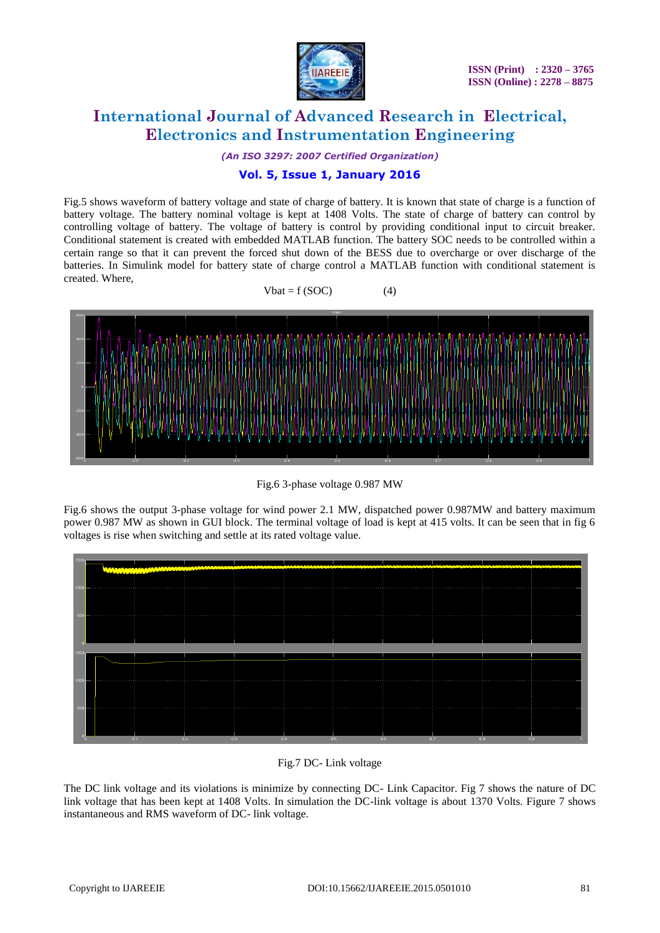

*(An ISO 3297: 2007 Certified Organization)*

### **Vol. 5, Issue 1, January 2016**

Fig.5 shows waveform of battery voltage and state of charge of battery. It is known that state of charge is a function of battery voltage. The battery nominal voltage is kept at 1408 Volts. The state of charge of battery can control by controlling voltage of battery. The voltage of battery is control by providing conditional input to circuit breaker. Conditional statement is created with embedded MATLAB function. The battery SOC needs to be controlled within a certain range so that it can prevent the forced shut down of the BESS due to overcharge or over discharge of the batteries. In Simulink model for battery state of charge control a MATLAB function with conditional statement is created. Where,





Fig.6 3-phase voltage 0.987 MW

Fig.6 shows the output 3-phase voltage for wind power 2.1 MW, dispatched power 0.987MW and battery maximum power 0.987 MW as shown in GUI block. The terminal voltage of load is kept at 415 volts. It can be seen that in fig 6 voltages is rise when switching and settle at its rated voltage value.



### Fig.7 DC- Link voltage

The DC link voltage and its violations is minimize by connecting DC- Link Capacitor. Fig 7 shows the nature of DC link voltage that has been kept at 1408 Volts. In simulation the DC-link voltage is about 1370 Volts. Figure 7 shows instantaneous and RMS waveform of DC- link voltage.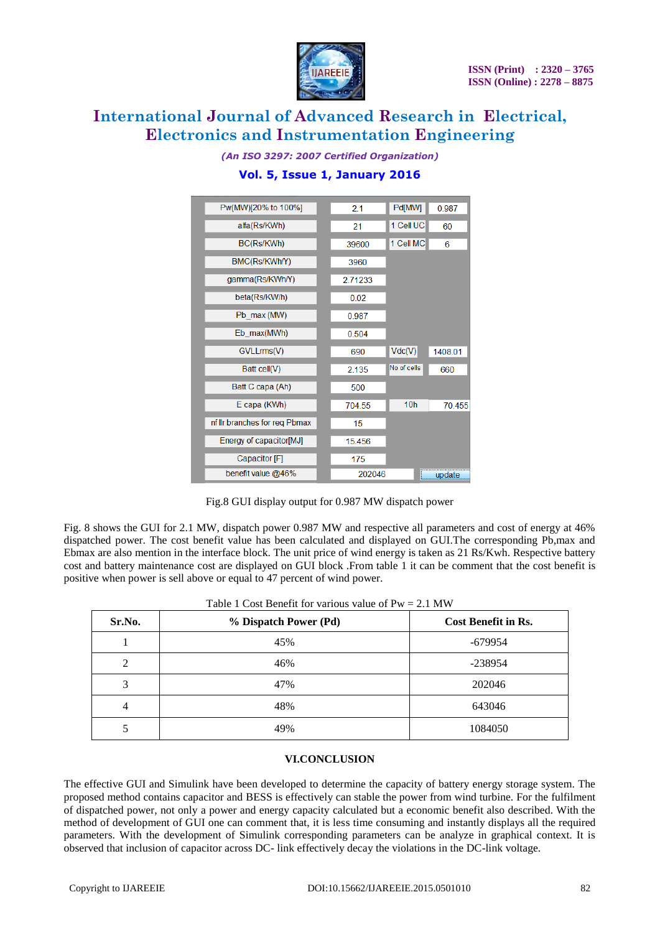

| Pw(MW)[20% to 100%]           |  | 21      | Pd[MW]          | 0.987   |
|-------------------------------|--|---------|-----------------|---------|
| alfa(Rs/KWh)                  |  | 21      | 1 Cell UC       | 60      |
| BC(Rs/KWh)                    |  | 39600   | 1 Cell MC       | 6       |
| BMC(Rs/KWh/Y)                 |  | 3960    |                 |         |
| gamma(Rs/KWh/Y)               |  | 2.71233 |                 |         |
| beta(Rs/KW/h)                 |  | 0.02    |                 |         |
| Pb max (MW)                   |  | 0.987   |                 |         |
| Eb max(MWh)                   |  | 0.504   |                 |         |
| GVLLmms(V)                    |  | 690     | Vdc(V)          | 1408.01 |
| Batt cell(V)                  |  | 2.135   | No of cells     | 660     |
| Batt C capa (Ah)              |  | 500     |                 |         |
| E capa (KWh)                  |  | 704.55  | 10 <sub>h</sub> | 70.455  |
| nf IIr branches for reg Pbmax |  | 15      |                 |         |
| Energy of capacitor[MJ]       |  | 15.456  |                 |         |
| Capacitor [F]                 |  | 175     |                 |         |
| benefit value @46%            |  | 202046  |                 | update  |

### *(An ISO 3297: 2007 Certified Organization)* **Vol. 5, Issue 1, January 2016**

|  |  |  |  |  |  |  | Fig.8 GUI display output for 0.987 MW dispatch power |  |
|--|--|--|--|--|--|--|------------------------------------------------------|--|
|--|--|--|--|--|--|--|------------------------------------------------------|--|

Fig. 8 shows the GUI for 2.1 MW, dispatch power 0.987 MW and respective all parameters and cost of energy at 46% dispatched power. The cost benefit value has been calculated and displayed on GUI.The corresponding Pb,max and Ebmax are also mention in the interface block. The unit price of wind energy is taken as 21 Rs/Kwh. Respective battery cost and battery maintenance cost are displayed on GUI block .From table 1 it can be comment that the cost benefit is positive when power is sell above or equal to 47 percent of wind power.

| Sr.No.         | % Dispatch Power (Pd) | <b>Cost Benefit in Rs.</b> |
|----------------|-----------------------|----------------------------|
|                | 45%                   | $-679954$                  |
| 2              | 46%                   | $-238954$                  |
| 3              | 47%                   | 202046                     |
| $\overline{4}$ | 48%                   | 643046                     |
|                | 49%                   | 1084050                    |

|  |  |  | Table 1 Cost Benefit for various value of $Pw = 2.1$ MW |  |  |
|--|--|--|---------------------------------------------------------|--|--|
|--|--|--|---------------------------------------------------------|--|--|

#### **VI.CONCLUSION**

The effective GUI and Simulink have been developed to determine the capacity of battery energy storage system. The proposed method contains capacitor and BESS is effectively can stable the power from wind turbine. For the fulfilment of dispatched power, not only a power and energy capacity calculated but a economic benefit also described. With the method of development of GUI one can comment that, it is less time consuming and instantly displays all the required parameters. With the development of Simulink corresponding parameters can be analyze in graphical context. It is observed that inclusion of capacitor across DC- link effectively decay the violations in the DC-link voltage.